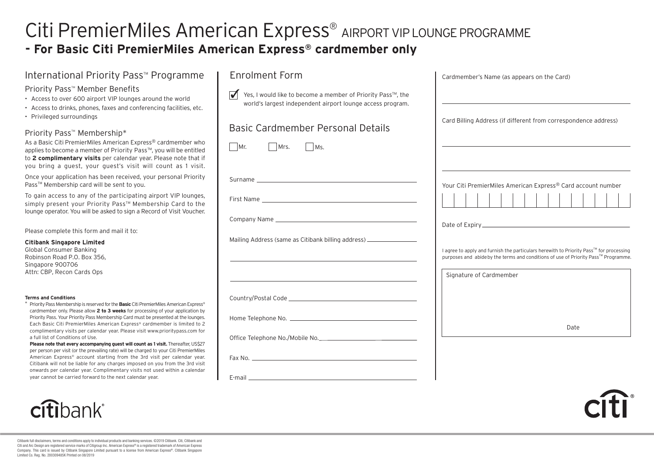### Citi PremierMiles American Express ® AIRPORT VIP LOUNGE PROGRAMME **- For Basic Citi PremierMiles American Express ® cardmember only**

#### International Priority Pass<sup>™</sup> Programme

#### Priority Pass™ Member Benefits

- Access to over 600 airport VIP lounges around the world
- Access to drinks, phones, faxes and conferencing facilities, etc.
- Privileged surroundings

#### Priority Pass<sup>™</sup> Membership\*

As a Basic Citi PremierMiles American Express® cardmember who applies to become a member of Priority Pass™, you will be entitled to **2 complimentary visits** per calendar year. Please note that if you bring a guest, your guest's visit will count as 1 visit.

Once your application has been received, your personal Priority Pass™ Membership card will be sent to you.

To gain access to any of the participating airport VIP lounges, simply present your Priority Pass™ Membership Card to the lounge operator. You will be asked to sign a Record of Visit Voucher.

Please complete this form and mail it to:

**Citibank Singapore Limited**

Global Consumer Banking Robinson Road P.O. Box 356, Singapore 900706 Attn: CBP, Recon Cards Ops

#### **Terms and Conditions**

\* Priority Pass Membership is reserved for the **Basic** Citi PremierMiles American Express® cardmember only. Please allow **2 to 3 weeks** for processing of your application by Priority Pass. Your Priority Pass Membership Card must be presented at the lounges. Each Basic Citi PremierMiles American Express® cardmember is limited to 2 complimentary visits per calendar year. Please visit www.prioritypass.com for a full list of Conditions of Use.

**Please note that every accompanying quest will count as 1 visit.** Thereafter, US\$27 per person per visit (or the prevailing rate) will be charged to your Citi PremierMiles American Express® account starting from the 3rd visit per calendar year. Citibank will not be liable for any charges imposed on you from the 3rd visit onwards per calendar year. Complimentary visits not used within a calendar year cannot be carried forward to the next calendar year.





#### Basic Cardmember Personal Details

| Basic Cardmember Personal Details                                                                                                                                                                                                                                                                                        | Card Billing Address (if different from correspondence address)                                                                                                                                         |
|--------------------------------------------------------------------------------------------------------------------------------------------------------------------------------------------------------------------------------------------------------------------------------------------------------------------------|---------------------------------------------------------------------------------------------------------------------------------------------------------------------------------------------------------|
| Mr.<br>$\Box$ Mrs.<br>MS.                                                                                                                                                                                                                                                                                                |                                                                                                                                                                                                         |
|                                                                                                                                                                                                                                                                                                                          | Your Citi PremierMiles American Express® Card account number                                                                                                                                            |
|                                                                                                                                                                                                                                                                                                                          |                                                                                                                                                                                                         |
| Mailing Address (same as Citibank billing address) _____________________________<br><u>state and the state of the state of the state of the state of the state of the state of the state of the state of the state of the state of the state of the state of the state of the state of the state of the state of the</u> | I agree to apply and furnish the particulars herewith to Priority Pass™ for processing<br>purposes and abide by the terms and conditions of use of Priority Pass™ Programme.<br>Signature of Cardmember |
| the control of the control of the control of the control of the control of the control of the control of the control of the control of the control of the control of the control of the control of the control of the control                                                                                            |                                                                                                                                                                                                         |
|                                                                                                                                                                                                                                                                                                                          | Date                                                                                                                                                                                                    |
|                                                                                                                                                                                                                                                                                                                          |                                                                                                                                                                                                         |
|                                                                                                                                                                                                                                                                                                                          |                                                                                                                                                                                                         |
|                                                                                                                                                                                                                                                                                                                          |                                                                                                                                                                                                         |

Cardmember's Name (as appears on the Card)



Citibank full disclaimers, terms and conditions apply to individual products and banking services. ©2019 Citibank. Citi, Citibank and Citi and Arc Design are registered service marks of Citigroup Inc. American Express® is a registered trademark of American Express Company. This card is issued by Citibank Singapore Limited pursuant to a license from American Express®. Citibank Singapore Limited Co. Reg. No. 200309485K Printed on 08/2019